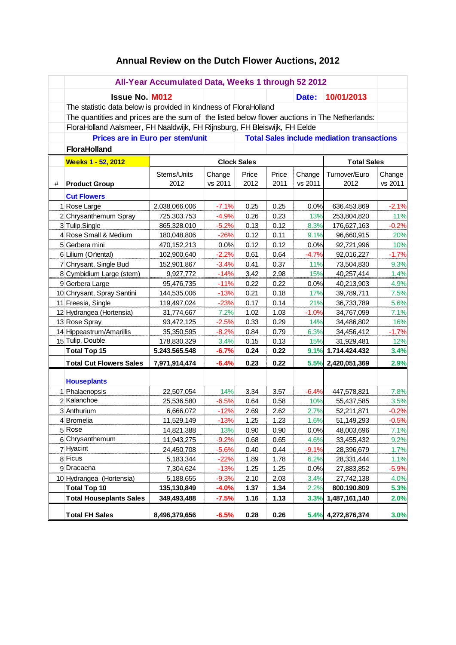## **Annual Review on the Dutch Flower Auctions, 2012**

|                            | All-Year Accumulated Data, Weeks 1 through 52 2012                                            |                                          |         |       |       |         |                    |         |
|----------------------------|-----------------------------------------------------------------------------------------------|------------------------------------------|---------|-------|-------|---------|--------------------|---------|
|                            | <b>Issue No. M012</b>                                                                         |                                          |         |       |       | Date:   | 10/01/2013         |         |
|                            | The statistic data below is provided in kindness of FloraHolland                              |                                          |         |       |       |         |                    |         |
|                            | The quantities and prices are the sum of the listed below flower auctions in The Netherlands: |                                          |         |       |       |         |                    |         |
|                            | FloraHolland Aalsmeer, FH Naaldwijk, FH Rijnsburg, FH Bleiswijk, FH Eelde                     |                                          |         |       |       |         |                    |         |
|                            | Prices are in Euro per stem/unit<br><b>Total Sales include mediation transactions</b>         |                                          |         |       |       |         |                    |         |
|                            | <b>FloraHolland</b>                                                                           |                                          |         |       |       |         |                    |         |
|                            | Weeks 1 - 52, 2012                                                                            | <b>Clock Sales</b><br><b>Total Sales</b> |         |       |       |         |                    |         |
|                            |                                                                                               | Stems/Units                              | Change  | Price | Price | Change  | Turnover/Euro      | Change  |
| #                          | <b>Product Group</b>                                                                          | 2012                                     | vs 2011 | 2012  | 2011  | vs 2011 | 2012               | vs 2011 |
|                            | <b>Cut Flowers</b>                                                                            |                                          |         |       |       |         |                    |         |
| 1 Rose Large               |                                                                                               | 2.038.066.006                            | $-7.1%$ | 0.25  | 0.25  | 0.0%    | 636.453.869        | $-2.1%$ |
| 2 Chrysanthemum Spray      |                                                                                               | 725.303.753                              | $-4.9%$ | 0.26  | 0.23  | 13%     | 253,804,820        | 11%     |
| 3 Tulip, Single            |                                                                                               | 865.328.010                              | $-5.2%$ | 0.13  | 0.12  | 8.3%    | 176,627,163        | $-0.2%$ |
| 4 Rose Small & Medium      |                                                                                               | 180,048,806                              | $-26%$  | 0.12  | 0.11  | 9.1%    | 96,660,915         | 20%     |
|                            | 5 Gerbera mini                                                                                | 470,152,213                              | 0.0%    | 0.12  | 0.12  | 0.0%    | 92,721,996         | 10%     |
| 6 Lilium (Oriental)        |                                                                                               | 102,900,640                              | $-2.2%$ | 0.61  | 0.64  | $-4.7%$ | 92,016,227         | $-1.7%$ |
|                            | 7 Chrysant, Single Bud                                                                        | 152,901,867                              | $-3.4%$ | 0.41  | 0.37  | 11%     | 73,504,830         | 9.3%    |
| 8 Cymbidium Large (stem)   |                                                                                               | 9,927,772                                | $-14%$  | 3.42  | 2.98  | 15%     | 40,257,414         | 1.4%    |
| 9 Gerbera Large            |                                                                                               | 95,476,735                               | $-11%$  | 0.22  | 0.22  | 0.0%    | 40,213,903         | 4.9%    |
| 10 Chrysant, Spray Santini |                                                                                               | 144,535,006                              | $-13%$  | 0.21  | 0.18  | 17%     | 39,789,711         | 7.5%    |
| 11 Freesia, Single         |                                                                                               | 119,497,024                              | $-23%$  | 0.17  | 0.14  | 21%     | 36,733,789         | 5.6%    |
| 12 Hydrangea (Hortensia)   |                                                                                               | 31,774,667                               | 7.2%    | 1.02  | 1.03  | $-1.0%$ | 34,767,099         | 7.1%    |
| 13 Rose Spray              |                                                                                               | 93,472,125                               | $-2.5%$ | 0.33  | 0.29  | 14%     | 34,486,802         | 16%     |
| 14 Hippeastrum/Amarillis   |                                                                                               | 35,350,595                               | $-8.2%$ | 0.84  | 0.79  | 6.3%    | 34,456,412         | $-1.7%$ |
| 15 Tulip, Double           |                                                                                               | 178,830,329                              | 3.4%    | 0.15  | 0.13  | 15%     | 31,929,481         | 12%     |
| <b>Total Top 15</b>        |                                                                                               | 5.243.565.548                            | $-6.7%$ | 0.24  | 0.22  | 9.1%    | 1.714.424.432      | 3.4%    |
|                            | <b>Total Cut Flowers Sales</b>                                                                | 7,971,914,474                            | $-6.4%$ | 0.23  | 0.22  |         | 5.5% 2,420,051,369 | 2.9%    |
|                            |                                                                                               |                                          |         |       |       |         |                    |         |
|                            | <b>Houseplants</b><br>1 Phalaenopsis                                                          | 22,507,054                               | 14%     | 3.34  | 3.57  | $-6.4%$ | 447,578,821        | 7.8%    |
|                            | 2 Kalanchoe                                                                                   | 25,536,580                               | $-6.5%$ | 0.64  | 0.58  | 10%     | 55,437,585         | 3.5%    |
|                            | 3 Anthurium                                                                                   | 6,666,072                                | $-12%$  | 2.69  | 2.62  | 2.7%    | 52,211,871         | $-0.2%$ |
|                            | 4 Bromelia                                                                                    | 11,529,149                               | $-13%$  | 1.25  | 1.23  | 1.6%    | 51,149,293         | $-0.5%$ |
|                            | 5 Rose                                                                                        | 14,821,388                               | 13%     | 0.90  | 0.90  | 0.0%    | 48,003,696         | 7.1%    |
|                            | 6 Chrysanthemum                                                                               | 11,943,275                               | $-9.2%$ | 0.68  | 0.65  | 4.6%    | 33,455,432         | 9.2%    |
|                            | 7 Hyacint                                                                                     | 24,450,708                               | $-5.6%$ | 0.40  | 0.44  | $-9.1%$ | 28,396,679         | 1.7%    |
| 8 Ficus                    |                                                                                               | 5,183,344                                | $-22%$  | 1.89  | 1.78  | 6.2%    | 28,331,444         | 1.1%    |
| 9 Dracaena                 |                                                                                               | 7,304,624                                | $-13%$  | 1.25  | 1.25  | 0.0%    | 27,883,852         | $-5.9%$ |
| 10 Hydrangea (Hortensia)   |                                                                                               | 5,188,655                                | $-9.3%$ | 2.10  | 2.03  | 3.4%    | 27,742,138         | 4.0%    |
|                            | <b>Total Top 10</b>                                                                           | 135,130,849                              | $-4.0%$ | 1.37  | 1.34  | 2.2%    | 800.190.809        | 5.3%    |
|                            | <b>Total Houseplants Sales</b>                                                                | 349,493,488                              | $-7.5%$ | 1.16  | 1.13  | 3.3%    | 1,487,161,140      | 2.0%    |
|                            |                                                                                               |                                          |         |       |       |         |                    |         |
|                            | <b>Total FH Sales</b>                                                                         | 8,496,379,656                            | $-6.5%$ | 0.28  | 0.26  | 5.4%    | 4,272,876,374      | 3.0%    |